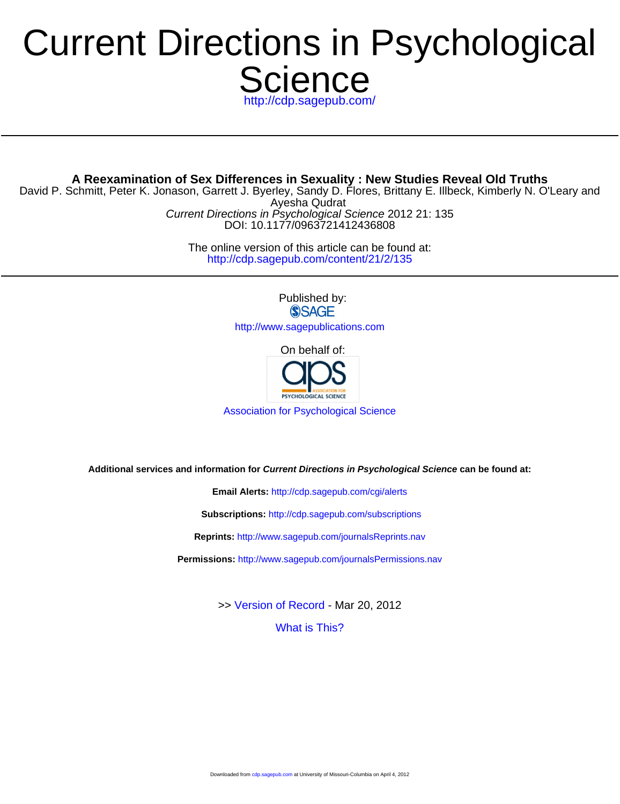# **Science** <http://cdp.sagepub.com/> Current Directions in Psychological

**A Reexamination of Sex Differences in Sexuality : New Studies Reveal Old Truths**

Current Directions in Psychological Science 2012 21: 135 Ayesha Qudrat David P. Schmitt, Peter K. Jonason, Garrett J. Byerley, Sandy D. Flores, Brittany E. Illbeck, Kimberly N. O'Leary and

DOI: 10.1177/0963721412436808

<http://cdp.sagepub.com/content/21/2/135> The online version of this article can be found at:

> Published by: **SSAGE**

<http://www.sagepublications.com>

On behalf of:



[Association for Psychological Science](http://www.psychologicalscience.org/)

**Additional services and information for Current Directions in Psychological Science can be found at:**

**Email Alerts:** <http://cdp.sagepub.com/cgi/alerts>

**Subscriptions:** <http://cdp.sagepub.com/subscriptions>

**Reprints:** <http://www.sagepub.com/journalsReprints.nav>

**Permissions:** <http://www.sagepub.com/journalsPermissions.nav>

>> [Version of Record -](http://cdp.sagepub.com/content/21/2/135.full.pdf) Mar 20, 2012

[What is This?](http://online.sagepub.com/site/sphelp/vorhelp.xhtml)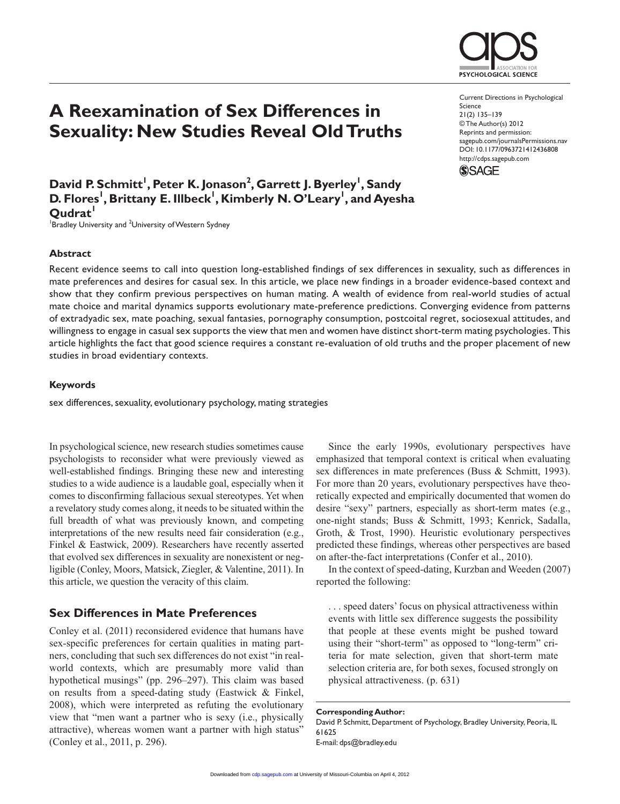# **A Reexamination of Sex Differences in Sexuality: New Studies Reveal Old Truths**

Current Directions in Psychological Science 21(2) 135–139 © The Author(s) 2012 Reprints and permission: sagepub.com/journalsPermissions.nav DOI: 10.1177/0963721412436808 http://cdps.sagepub.com **SSAGE** 

David P. Schmitt<sup>1</sup>, Peter K. Jonason<sup>2</sup>, Garrett J. Byerley<sup>1</sup>, Sandy **D. Flores<sup>1</sup>, Brittany E. Illbeck<sup>1</sup>, Kimberly N. O'Leary<sup>1</sup>, and Ayesha** Qudrat<sup>1</sup>

<sup>1</sup> Bradley University and <sup>2</sup> University of Western Sydney

# **Abstract**

Recent evidence seems to call into question long-established findings of sex differences in sexuality, such as differences in mate preferences and desires for casual sex. In this article, we place new findings in a broader evidence-based context and show that they confirm previous perspectives on human mating. A wealth of evidence from real-world studies of actual mate choice and marital dynamics supports evolutionary mate-preference predictions. Converging evidence from patterns of extradyadic sex, mate poaching, sexual fantasies, pornography consumption, postcoital regret, sociosexual attitudes, and willingness to engage in casual sex supports the view that men and women have distinct short-term mating psychologies. This article highlights the fact that good science requires a constant re-evaluation of old truths and the proper placement of new studies in broad evidentiary contexts.

#### **Keywords**

sex differences, sexuality, evolutionary psychology, mating strategies

In psychological science, new research studies sometimes cause psychologists to reconsider what were previously viewed as well-established findings. Bringing these new and interesting studies to a wide audience is a laudable goal, especially when it comes to disconfirming fallacious sexual stereotypes. Yet when a revelatory study comes along, it needs to be situated within the full breadth of what was previously known, and competing interpretations of the new results need fair consideration (e.g., Finkel & Eastwick, 2009). Researchers have recently asserted that evolved sex differences in sexuality are nonexistent or negligible (Conley, Moors, Matsick, Ziegler, & Valentine, 2011). In this article, we question the veracity of this claim.

# **Sex Differences in Mate Preferences**

Conley et al. (2011) reconsidered evidence that humans have sex-specific preferences for certain qualities in mating partners, concluding that such sex differences do not exist "in realworld contexts, which are presumably more valid than hypothetical musings" (pp. 296–297). This claim was based on results from a speed-dating study (Eastwick & Finkel, 2008), which were interpreted as refuting the evolutionary view that "men want a partner who is sexy (i.e., physically attractive), whereas women want a partner with high status" (Conley et al., 2011, p. 296).

Since the early 1990s, evolutionary perspectives have emphasized that temporal context is critical when evaluating sex differences in mate preferences (Buss & Schmitt, 1993). For more than 20 years, evolutionary perspectives have theoretically expected and empirically documented that women do desire "sexy" partners, especially as short-term mates (e.g., one-night stands; Buss & Schmitt, 1993; Kenrick, Sadalla, Groth, & Trost, 1990). Heuristic evolutionary perspectives predicted these findings, whereas other perspectives are based on after-the-fact interpretations (Confer et al., 2010).

In the context of speed-dating, Kurzban and Weeden (2007) reported the following:

. . . speed daters' focus on physical attractiveness within events with little sex difference suggests the possibility that people at these events might be pushed toward using their "short-term" as opposed to "long-term" criteria for mate selection, given that short-term mate selection criteria are, for both sexes, focused strongly on physical attractiveness. (p. 631)

#### **Corresponding Author:**

David P. Schmitt, Department of Psychology, Bradley University, Peoria, IL 61625 E-mail: dps@bradley.edu

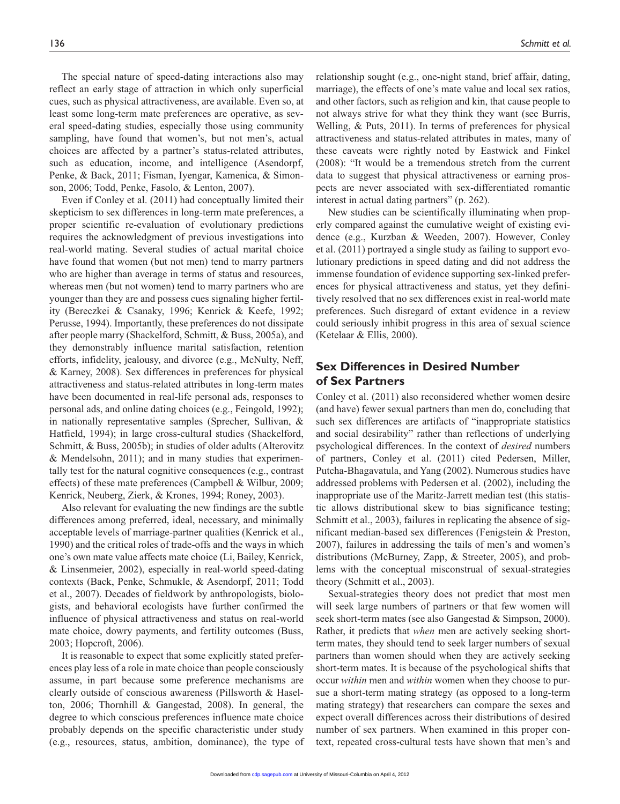The special nature of speed-dating interactions also may reflect an early stage of attraction in which only superficial cues, such as physical attractiveness, are available. Even so, at least some long-term mate preferences are operative, as several speed-dating studies, especially those using community sampling, have found that women's, but not men's, actual choices are affected by a partner's status-related attributes, such as education, income, and intelligence (Asendorpf, Penke, & Back, 2011; Fisman, Iyengar, Kamenica, & Simonson, 2006; Todd, Penke, Fasolo, & Lenton, 2007).

Even if Conley et al. (2011) had conceptually limited their skepticism to sex differences in long-term mate preferences, a proper scientific re-evaluation of evolutionary predictions requires the acknowledgment of previous investigations into real-world mating. Several studies of actual marital choice have found that women (but not men) tend to marry partners who are higher than average in terms of status and resources, whereas men (but not women) tend to marry partners who are younger than they are and possess cues signaling higher fertility (Bereczkei & Csanaky, 1996; Kenrick & Keefe, 1992; Perusse, 1994). Importantly, these preferences do not dissipate after people marry (Shackelford, Schmitt, & Buss, 2005a), and they demonstrably influence marital satisfaction, retention efforts, infidelity, jealousy, and divorce (e.g., McNulty, Neff, & Karney, 2008). Sex differences in preferences for physical attractiveness and status-related attributes in long-term mates have been documented in real-life personal ads, responses to personal ads, and online dating choices (e.g., Feingold, 1992); in nationally representative samples (Sprecher, Sullivan, & Hatfield, 1994); in large cross-cultural studies (Shackelford, Schmitt, & Buss, 2005b); in studies of older adults (Alterovitz & Mendelsohn, 2011); and in many studies that experimentally test for the natural cognitive consequences (e.g., contrast effects) of these mate preferences (Campbell & Wilbur, 2009; Kenrick, Neuberg, Zierk, & Krones, 1994; Roney, 2003).

Also relevant for evaluating the new findings are the subtle differences among preferred, ideal, necessary, and minimally acceptable levels of marriage-partner qualities (Kenrick et al., 1990) and the critical roles of trade-offs and the ways in which one's own mate value affects mate choice (Li, Bailey, Kenrick, & Linsenmeier, 2002), especially in real-world speed-dating contexts (Back, Penke, Schmukle, & Asendorpf, 2011; Todd et al., 2007). Decades of fieldwork by anthropologists, biologists, and behavioral ecologists have further confirmed the influence of physical attractiveness and status on real-world mate choice, dowry payments, and fertility outcomes (Buss, 2003; Hopcroft, 2006).

It is reasonable to expect that some explicitly stated preferences play less of a role in mate choice than people consciously assume, in part because some preference mechanisms are clearly outside of conscious awareness (Pillsworth & Haselton, 2006; Thornhill & Gangestad, 2008). In general, the degree to which conscious preferences influence mate choice probably depends on the specific characteristic under study (e.g., resources, status, ambition, dominance), the type of relationship sought (e.g., one-night stand, brief affair, dating, marriage), the effects of one's mate value and local sex ratios, and other factors, such as religion and kin, that cause people to not always strive for what they think they want (see Burris, Welling, & Puts, 2011). In terms of preferences for physical attractiveness and status-related attributes in mates, many of these caveats were rightly noted by Eastwick and Finkel (2008): "It would be a tremendous stretch from the current data to suggest that physical attractiveness or earning prospects are never associated with sex-differentiated romantic interest in actual dating partners" (p. 262).

New studies can be scientifically illuminating when properly compared against the cumulative weight of existing evidence (e.g., Kurzban & Weeden, 2007). However, Conley et al. (2011) portrayed a single study as failing to support evolutionary predictions in speed dating and did not address the immense foundation of evidence supporting sex-linked preferences for physical attractiveness and status, yet they definitively resolved that no sex differences exist in real-world mate preferences. Such disregard of extant evidence in a review could seriously inhibit progress in this area of sexual science (Ketelaar & Ellis, 2000).

# **Sex Differences in Desired Number of Sex Partners**

Conley et al. (2011) also reconsidered whether women desire (and have) fewer sexual partners than men do, concluding that such sex differences are artifacts of "inappropriate statistics and social desirability" rather than reflections of underlying psychological differences. In the context of *desired* numbers of partners, Conley et al. (2011) cited Pedersen, Miller, Putcha-Bhagavatula, and Yang (2002). Numerous studies have addressed problems with Pedersen et al. (2002), including the inappropriate use of the Maritz-Jarrett median test (this statistic allows distributional skew to bias significance testing; Schmitt et al., 2003), failures in replicating the absence of significant median-based sex differences (Fenigstein & Preston, 2007), failures in addressing the tails of men's and women's distributions (McBurney, Zapp, & Streeter, 2005), and problems with the conceptual misconstrual of sexual-strategies theory (Schmitt et al., 2003).

Sexual-strategies theory does not predict that most men will seek large numbers of partners or that few women will seek short-term mates (see also Gangestad & Simpson, 2000). Rather, it predicts that *when* men are actively seeking shortterm mates, they should tend to seek larger numbers of sexual partners than women should when they are actively seeking short-term mates. It is because of the psychological shifts that occur *within* men and *within* women when they choose to pursue a short-term mating strategy (as opposed to a long-term mating strategy) that researchers can compare the sexes and expect overall differences across their distributions of desired number of sex partners. When examined in this proper context, repeated cross-cultural tests have shown that men's and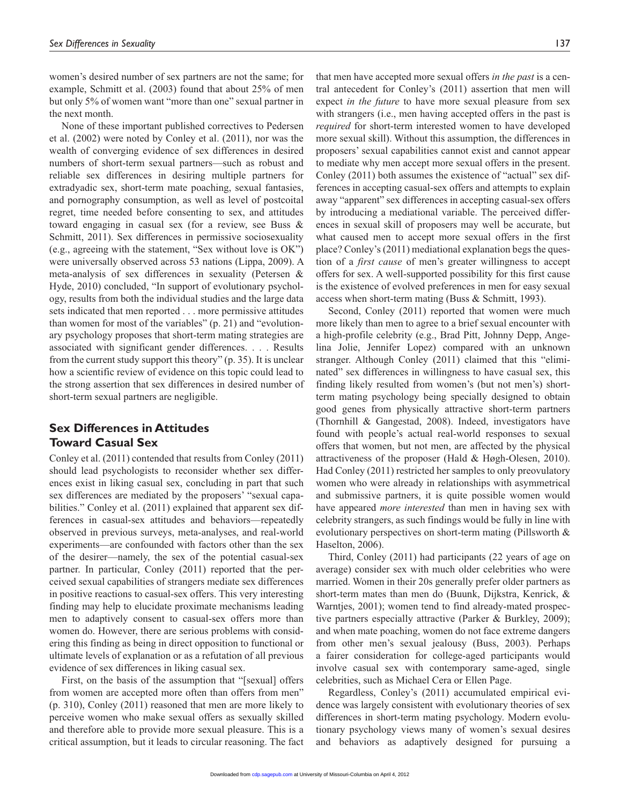women's desired number of sex partners are not the same; for example, Schmitt et al. (2003) found that about 25% of men but only 5% of women want "more than one" sexual partner in the next month.

None of these important published correctives to Pedersen et al. (2002) were noted by Conley et al. (2011), nor was the wealth of converging evidence of sex differences in desired numbers of short-term sexual partners—such as robust and reliable sex differences in desiring multiple partners for extradyadic sex, short-term mate poaching, sexual fantasies, and pornography consumption, as well as level of postcoital regret, time needed before consenting to sex, and attitudes toward engaging in casual sex (for a review, see Buss & Schmitt, 2011). Sex differences in permissive sociosexuality (e.g., agreeing with the statement, "Sex without love is OK") were universally observed across 53 nations (Lippa, 2009). A meta-analysis of sex differences in sexuality (Petersen & Hyde, 2010) concluded, "In support of evolutionary psychology, results from both the individual studies and the large data sets indicated that men reported . . . more permissive attitudes than women for most of the variables" (p. 21) and "evolutionary psychology proposes that short-term mating strategies are associated with significant gender differences. . . . Results from the current study support this theory" (p. 35). It is unclear how a scientific review of evidence on this topic could lead to the strong assertion that sex differences in desired number of short-term sexual partners are negligible.

# **Sex Differences in Attitudes Toward Casual Sex**

Conley et al. (2011) contended that results from Conley (2011) should lead psychologists to reconsider whether sex differences exist in liking casual sex, concluding in part that such sex differences are mediated by the proposers' "sexual capabilities." Conley et al. (2011) explained that apparent sex differences in casual-sex attitudes and behaviors—repeatedly observed in previous surveys, meta-analyses, and real-world experiments—are confounded with factors other than the sex of the desirer—namely, the sex of the potential casual-sex partner. In particular, Conley (2011) reported that the perceived sexual capabilities of strangers mediate sex differences in positive reactions to casual-sex offers. This very interesting finding may help to elucidate proximate mechanisms leading men to adaptively consent to casual-sex offers more than women do. However, there are serious problems with considering this finding as being in direct opposition to functional or ultimate levels of explanation or as a refutation of all previous evidence of sex differences in liking casual sex.

First, on the basis of the assumption that "[sexual] offers from women are accepted more often than offers from men" (p. 310), Conley (2011) reasoned that men are more likely to perceive women who make sexual offers as sexually skilled and therefore able to provide more sexual pleasure. This is a critical assumption, but it leads to circular reasoning. The fact

that men have accepted more sexual offers *in the past* is a central antecedent for Conley's (2011) assertion that men will expect *in the future* to have more sexual pleasure from sex with strangers (i.e., men having accepted offers in the past is *required* for short-term interested women to have developed more sexual skill). Without this assumption, the differences in proposers' sexual capabilities cannot exist and cannot appear to mediate why men accept more sexual offers in the present. Conley (2011) both assumes the existence of "actual" sex differences in accepting casual-sex offers and attempts to explain away "apparent" sex differences in accepting casual-sex offers by introducing a mediational variable. The perceived differences in sexual skill of proposers may well be accurate, but what caused men to accept more sexual offers in the first place? Conley's (2011) mediational explanation begs the question of a *first cause* of men's greater willingness to accept offers for sex. A well-supported possibility for this first cause is the existence of evolved preferences in men for easy sexual access when short-term mating (Buss & Schmitt, 1993).

Second, Conley (2011) reported that women were much more likely than men to agree to a brief sexual encounter with a high-profile celebrity (e.g., Brad Pitt, Johnny Depp, Angelina Jolie, Jennifer Lopez) compared with an unknown stranger. Although Conley (2011) claimed that this "eliminated" sex differences in willingness to have casual sex, this finding likely resulted from women's (but not men's) shortterm mating psychology being specially designed to obtain good genes from physically attractive short-term partners (Thornhill & Gangestad, 2008). Indeed, investigators have found with people's actual real-world responses to sexual offers that women, but not men, are affected by the physical attractiveness of the proposer (Hald & Høgh-Olesen, 2010). Had Conley (2011) restricted her samples to only preovulatory women who were already in relationships with asymmetrical and submissive partners, it is quite possible women would have appeared *more interested* than men in having sex with celebrity strangers, as such findings would be fully in line with evolutionary perspectives on short-term mating (Pillsworth & Haselton, 2006).

Third, Conley (2011) had participants (22 years of age on average) consider sex with much older celebrities who were married. Women in their 20s generally prefer older partners as short-term mates than men do (Buunk, Dijkstra, Kenrick, & Warntjes, 2001); women tend to find already-mated prospective partners especially attractive (Parker & Burkley, 2009); and when mate poaching, women do not face extreme dangers from other men's sexual jealousy (Buss, 2003). Perhaps a fairer consideration for college-aged participants would involve casual sex with contemporary same-aged, single celebrities, such as Michael Cera or Ellen Page.

Regardless, Conley's (2011) accumulated empirical evidence was largely consistent with evolutionary theories of sex differences in short-term mating psychology. Modern evolutionary psychology views many of women's sexual desires and behaviors as adaptively designed for pursuing a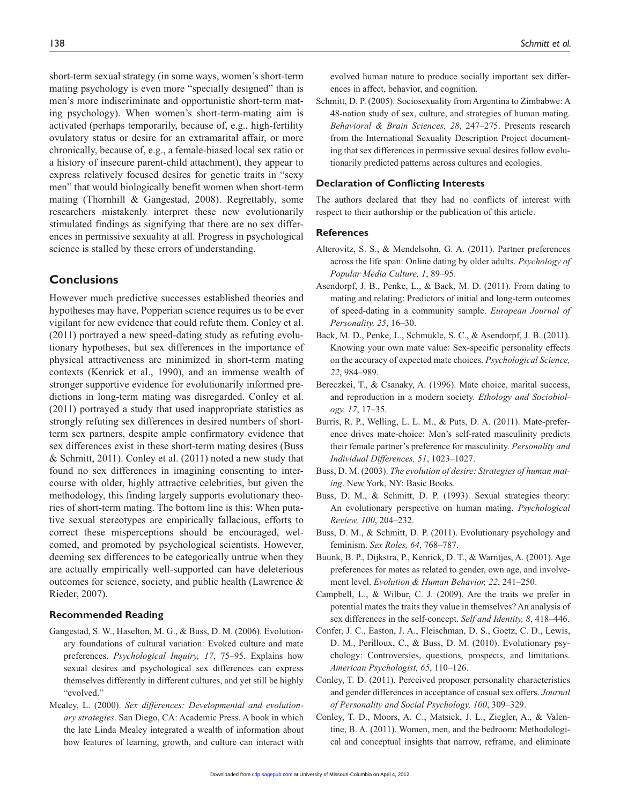short-term sexual strategy (in some ways, women's short-term mating psychology is even more "specially designed" than is men's more indiscriminate and opportunistic short-term mating psychology). When women's short-term-mating aim is activated (perhaps temporarily, because of, e.g., high-fertility ovulatory status or desire for an extramarital affair, or more chronically, because of, e.g., a female-biased local sex ratio or a history of insecure parent-child attachment), they appear to express relatively focused desires for genetic traits in "sexy men" that would biologically benefit women when short-term mating (Thornhill & Gangestad, 2008). Regrettably, some researchers mistakenly interpret these new evolutionarily stimulated findings as signifying that there are no sex differences in permissive sexuality at all. Progress in psychological science is stalled by these errors of understanding.

# **Conclusions**

However much predictive successes established theories and hypotheses may have, Popperian science requires us to be ever vigilant for new evidence that could refute them. Conley et al. (2011) portrayed a new speed-dating study as refuting evolutionary hypotheses, but sex differences in the importance of physical attractiveness are minimized in short-term mating contexts (Kenrick et al., 1990), and an immense wealth of stronger supportive evidence for evolutionarily informed predictions in long-term mating was disregarded. Conley et al. (2011) portrayed a study that used inappropriate statistics as strongly refuting sex differences in desired numbers of shortterm sex partners, despite ample confirmatory evidence that sex differences exist in these short-term mating desires (Buss & Schmitt, 2011). Conley et al. (2011) noted a new study that found no sex differences in imagining consenting to intercourse with older, highly attractive celebrities, but given the methodology, this finding largely supports evolutionary theories of short-term mating. The bottom line is this: When putative sexual stereotypes are empirically fallacious, efforts to correct these misperceptions should be encouraged, welcomed, and promoted by psychological scientists. However, deeming sex differences to be categorically untrue when they are actually empirically well-supported can have deleterious outcomes for science, society, and public health (Lawrence & Rieder, 2007).

## **Recommended Reading**

- Gangestad, S. W., Haselton, M. G., & Buss, D. M. (2006). Evolutionary foundations of cultural variation: Evoked culture and mate preferences. *Psychological Inquiry, 17*, 75–95. Explains how sexual desires and psychological sex differences can express themselves differently in different cultures, and yet still be highly "evolved."
- Mealey, L. (2000). *Sex differences: Developmental and evolutionary strategies*. San Diego, CA: Academic Press. A book in which the late Linda Mealey integrated a wealth of information about how features of learning, growth, and culture can interact with

evolved human nature to produce socially important sex differences in affect, behavior, and cognition.

Schmitt, D. P. (2005). Sociosexuality from Argentina to Zimbabwe: A 48-nation study of sex, culture, and strategies of human mating. *Behavioral & Brain Sciences, 28*, 247–275. Presents research from the International Sexuality Description Project documenting that sex differences in permissive sexual desires follow evolutionarily predicted patterns across cultures and ecologies.

### **Declaration of Conflicting Interests**

The authors declared that they had no conflicts of interest with respect to their authorship or the publication of this article.

#### **References**

- Alterovitz, S. S., & Mendelsohn, G. A. (2011). Partner preferences across the life span: Online dating by older adults. *Psychology of Popular Media Culture, 1*, 89–95.
- Asendorpf, J. B., Penke, L., & Back, M. D. (2011). From dating to mating and relating: Predictors of initial and long-term outcomes of speed-dating in a community sample. *European Journal of Personality, 25*, 16–30.
- Back, M. D., Penke, L., Schmukle, S. C., & Asendorpf, J. B. (2011). Knowing your own mate value: Sex-specific personality effects on the accuracy of expected mate choices. *Psychological Science, 22*, 984–989.
- Bereczkei, T., & Csanaky, A. (1996). Mate choice, marital success, and reproduction in a modern society. *Ethology and Sociobiology, 17*, 17–35.
- Burris, R. P., Welling, L. L. M., & Puts, D. A. (2011). Mate-preference drives mate-choice: Men's self-rated masculinity predicts their female partner's preference for masculinity. *Personality and Individual Differences, 51*, 1023–1027.
- Buss, D. M. (2003). *The evolution of desire: Strategies of human mating*. New York, NY: Basic Books.
- Buss, D. M., & Schmitt, D. P. (1993). Sexual strategies theory: An evolutionary perspective on human mating. *Psychological Review, 100*, 204–232.
- Buss, D. M., & Schmitt, D. P. (2011). Evolutionary psychology and feminism. *Sex Roles, 64*, 768–787.
- Buunk, B. P., Dijkstra, P., Kenrick, D. T., & Warntjes, A. (2001). Age preferences for mates as related to gender, own age, and involvement level. *Evolution & Human Behavior, 22*, 241–250.
- Campbell, L., & Wilbur, C. J. (2009). Are the traits we prefer in potential mates the traits they value in themselves? An analysis of sex differences in the self-concept. *Self and Identity, 8*, 418–446.
- Confer, J. C., Easton, J. A., Fleischman, D. S., Goetz, C. D., Lewis, D. M., Perilloux, C., & Buss, D. M. (2010). Evolutionary psychology: Controversies, questions, prospects, and limitations. *American Psychologist, 65*, 110–126.
- Conley, T. D. (2011). Perceived proposer personality characteristics and gender differences in acceptance of casual sex offers. *Journal of Personality and Social Psychology, 100*, 309–329.
- Conley, T. D., Moors, A. C., Matsick, J. L., Ziegler, A., & Valentine, B. A. (2011). Women, men, and the bedroom: Methodological and conceptual insights that narrow, reframe, and eliminate